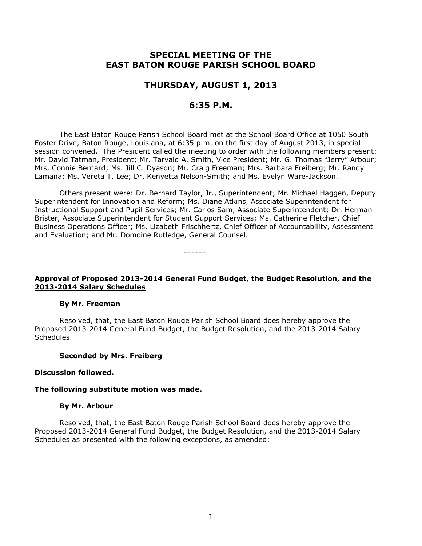# **SPECIAL MEETING OF THE EAST BATON ROUGE PARISH SCHOOL BOARD**

## **THURSDAY, AUGUST 1, 2013**

## **6:35 P.M.**

The East Baton Rouge Parish School Board met at the School Board Office at 1050 South Foster Drive, Baton Rouge, Louisiana, at 6:35 p.m. on the first day of August 2013, in specialsession convened**.** The President called the meeting to order with the following members present: Mr. David Tatman, President; Mr. Tarvald A. Smith, Vice President; Mr. G. Thomas "Jerry" Arbour; Mrs. Connie Bernard; Ms. Jill C. Dyason; Mr. Craig Freeman; Mrs. Barbara Freiberg; Mr. Randy Lamana; Ms. Vereta T. Lee; Dr. Kenyetta Nelson-Smith; and Ms. Evelyn Ware-Jackson.

Others present were: Dr. Bernard Taylor, Jr., Superintendent; Mr. Michael Haggen, Deputy Superintendent for Innovation and Reform; Ms. Diane Atkins, Associate Superintendent for Instructional Support and Pupil Services; Mr. Carlos Sam, Associate Superintendent; Dr. Herman Brister, Associate Superintendent for Student Support Services; Ms. Catherine Fletcher, Chief Business Operations Officer; Ms. Lizabeth Frischhertz, Chief Officer of Accountability, Assessment and Evaluation; and Mr. Domoine Rutledge, General Counsel.

------

### **Approval of Proposed 2013-2014 General Fund Budget, the Budget Resolution, and the 2013-2014 Salary Schedules**

#### **By Mr. Freeman**

Resolved, that, the East Baton Rouge Parish School Board does hereby approve the Proposed 2013-2014 General Fund Budget, the Budget Resolution, and the 2013-2014 Salary Schedules.

#### **Seconded by Mrs. Freiberg**

### **Discussion followed.**

#### **The following substitute motion was made.**

#### **By Mr. Arbour**

Resolved, that, the East Baton Rouge Parish School Board does hereby approve the Proposed 2013-2014 General Fund Budget, the Budget Resolution, and the 2013-2014 Salary Schedules as presented with the following exceptions, as amended: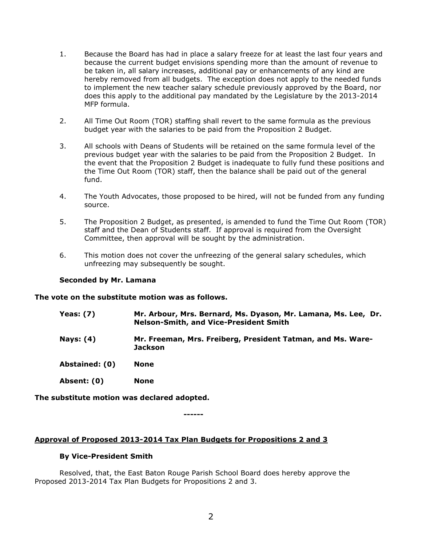- 1. Because the Board has had in place a salary freeze for at least the last four years and because the current budget envisions spending more than the amount of revenue to be taken in, all salary increases, additional pay or enhancements of any kind are hereby removed from all budgets. The exception does not apply to the needed funds to implement the new teacher salary schedule previously approved by the Board, nor does this apply to the additional pay mandated by the Legislature by the 2013-2014 MFP formula.
- 2. All Time Out Room (TOR) staffing shall revert to the same formula as the previous budget year with the salaries to be paid from the Proposition 2 Budget.
- 3. All schools with Deans of Students will be retained on the same formula level of the previous budget year with the salaries to be paid from the Proposition 2 Budget. In the event that the Proposition 2 Budget is inadequate to fully fund these positions and the Time Out Room (TOR) staff, then the balance shall be paid out of the general fund.
- 4. The Youth Advocates, those proposed to be hired, will not be funded from any funding source.
- 5. The Proposition 2 Budget, as presented, is amended to fund the Time Out Room (TOR) staff and the Dean of Students staff. If approval is required from the Oversight Committee, then approval will be sought by the administration.
- 6. This motion does not cover the unfreezing of the general salary schedules, which unfreezing may subsequently be sought.

### **Seconded by Mr. Lamana**

**The vote on the substitute motion was as follows.**

- **Yeas: (7) Mr. Arbour, Mrs. Bernard, Ms. Dyason, Mr. Lamana, Ms. Lee, Dr. Nelson-Smith, and Vice-President Smith**
- **Nays: (4) Mr. Freeman, Mrs. Freiberg, President Tatman, and Ms. Ware-Jackson**
- **Abstained: (0) None**
- **Absent: (0) None**

**The substitute motion was declared adopted.**

**------**

## **Approval of Proposed 2013-2014 Tax Plan Budgets for Propositions 2 and 3**

### **By Vice-President Smith**

Resolved, that, the East Baton Rouge Parish School Board does hereby approve the Proposed 2013-2014 Tax Plan Budgets for Propositions 2 and 3.